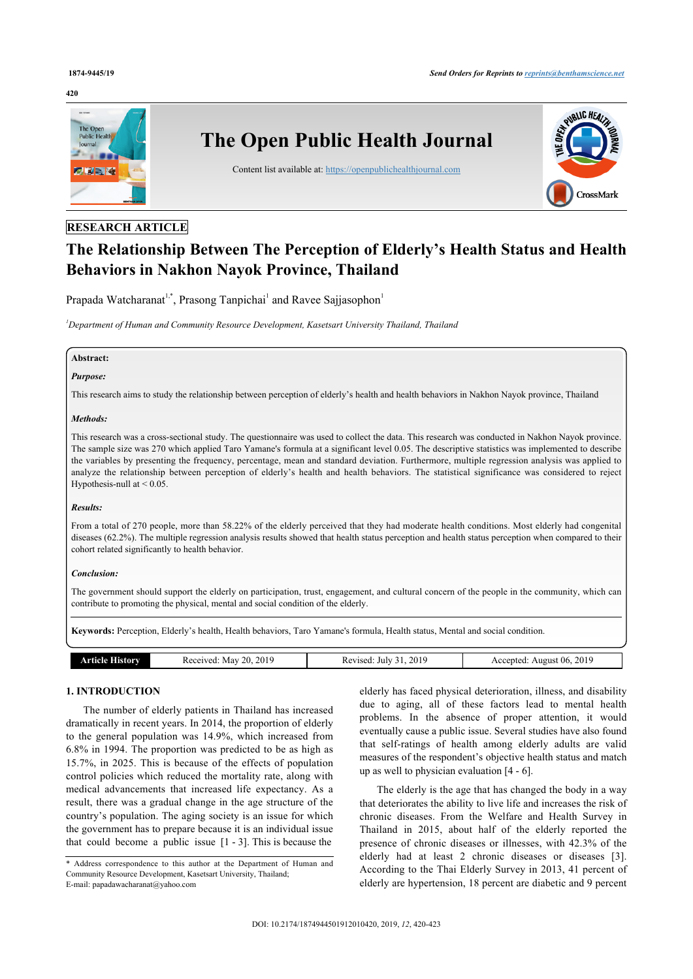#### **420**



# **RESEARCH ARTICLE**

# **The Relationship Between The Perception of Elderly's Health Status and Health Behaviors in Nakhon Nayok Province, Thailand**

Prapada Watcharanat<sup>[1,](#page-0-0)[\\*](#page-0-1)</sup>, Prasong Tanpichai<sup>[1](#page-0-0)</sup> and Ravee Sajjasophon<sup>1</sup>

<span id="page-0-0"></span>*<sup>1</sup>Department of Human and Community Resource Development, Kasetsart University Thailand, Thailand*

# **Abstract:**

# *Purpose:*

This research aims to study the relationship between perception of elderly's health and health behaviors in Nakhon Nayok province, Thailand

#### *Methods:*

This research was a cross-sectional study. The questionnaire was used to collect the data. This research was conducted in Nakhon Nayok province. The sample size was 270 which applied Taro Yamane's formula at a significant level 0.05. The descriptive statistics was implemented to describe the variables by presenting the frequency, percentage, mean and standard deviation. Furthermore, multiple regression analysis was applied to analyze the relationship between perception of elderly's health and health behaviors. The statistical significance was considered to reject Hypothesis-null at  $< 0.05$ .

#### *Results:*

From a total of 270 people, more than 58.22% of the elderly perceived that they had moderate health conditions. Most elderly had congenital diseases (62.2%). The multiple regression analysis results showed that health status perception and health status perception when compared to their cohort related significantly to health behavior.

#### *Conclusion:*

The government should support the elderly on participation, trust, engagement, and cultural concern of the people in the community, which can contribute to promoting the physical, mental and social condition of the elderly.

**Keywords:** Perception, Elderly's health, Health behaviors, Taro Yamane's formula, Health status, Mental and social condition.

| History<br>rtielo<br> | 201<br>70.<br>'eceived'<br>Mav<br>w<br>. | .201c<br>Revised<br>July<br>n.c<br>$\mathbf{U}$ 1.<br>. | 2019<br><br>06<br>August<br>cent<br>¬ ៶<br>____ |
|-----------------------|------------------------------------------|---------------------------------------------------------|-------------------------------------------------|

#### **1. INTRODUCTION**

The number of elderly patients in Thailand has increased dramatically in recent years. In 2014, the proportion of elderly to the general population was 14.9%, which increased from 6.8% in 1994. The proportion was predicted to be as high as 15.7%, in 2025. This is because of the effects of population control policies which reduced the mortality rate, along with medical advancements that increased life expectancy. As a result, there was a gradual change in the age structure of the country's population. The aging society is an issue for which the government has to prepare because it is an individual issue that could become a public issue  $[1 - 3]$  $[1 - 3]$  $[1 - 3]$  $[1 - 3]$  $[1 - 3]$ . This is because the

elderly has faced physical deterioration, illness, and disability due to aging, all of these factors lead to mental health problems. In the absence of proper attention, it would eventually cause a public issue. Several studies have also found that self-ratings of health among elderly adults are valid measures of the respondent's objective health status and match up as well to physician evaluation [\[4](#page-3-2) - [6\]](#page-3-3).

The elderly is the age that has changed the body in a way that deteriorates the ability to live life and increases the risk of chronic diseases. From the Welfare and Health Survey in Thailand in 2015, about half of the elderly reported the presence of chronic diseases or illnesses, with 42.3% of the elderly had at least 2 chronic diseases or diseases[[3](#page-3-1)]. According to the Thai Elderly Survey in 2013, 41 percent of elderly are hypertension, 18 percent are diabetic and 9 percent

<span id="page-0-1"></span><sup>\*</sup> Address correspondence to this author at the Department of Human and Community Resource Development, Kasetsart University, Thailand; E-mail: [papadawacharanat@yahoo.com](mailto:papadawacharanat@yahoo.com)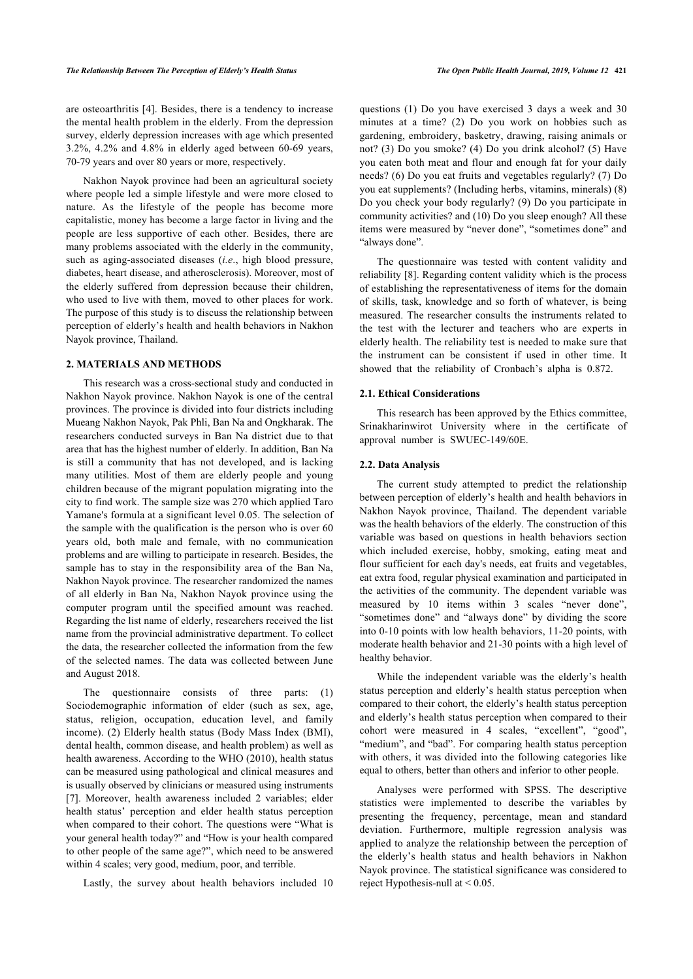are osteoarthritis [\[4\]](#page-3-2). Besides, there is a tendency to increase the mental health problem in the elderly. From the depression survey, elderly depression increases with age which presented 3.2%, 4.2% and 4.8% in elderly aged between 60-69 years, 70-79 years and over 80 years or more, respectively.

Nakhon Nayok province had been an agricultural society where people led a simple lifestyle and were more closed to nature. As the lifestyle of the people has become more capitalistic, money has become a large factor in living and the people are less supportive of each other. Besides, there are many problems associated with the elderly in the community, such as aging-associated diseases (*i.e*., high blood pressure, diabetes, heart disease, and atherosclerosis). Moreover, most of the elderly suffered from depression because their children, who used to live with them, moved to other places for work. The purpose of this study is to discuss the relationship between perception of elderly's health and health behaviors in Nakhon Nayok province, Thailand.

### **2. MATERIALS AND METHODS**

This research was a cross-sectional study and conducted in Nakhon Nayok province. Nakhon Nayok is one of the central provinces. The province is divided into four districts including Mueang Nakhon Nayok, Pak Phli, Ban Na and Ongkharak. The researchers conducted surveys in Ban Na district due to that area that has the highest number of elderly. In addition, Ban Na is still a community that has not developed, and is lacking many utilities. Most of them are elderly people and young children because of the migrant population migrating into the city to find work. The sample size was 270 which applied Taro Yamane's formula at a significant level 0.05. The selection of the sample with the qualification is the person who is over 60 years old, both male and female, with no communication problems and are willing to participate in research. Besides, the sample has to stay in the responsibility area of the Ban Na, Nakhon Nayok province. The researcher randomized the names of all elderly in Ban Na, Nakhon Nayok province using the computer program until the specified amount was reached. Regarding the list name of elderly, researchers received the list name from the provincial administrative department. To collect the data, the researcher collected the information from the few of the selected names. The data was collected between June and August 2018.

The questionnaire consists of three parts: (1) Sociodemographic information of elder (such as sex, age, status, religion, occupation, education level, and family income). (2) Elderly health status (Body Mass Index (BMI), dental health, common disease, and health problem) as well as health awareness. According to the WHO (2010), health status can be measured using pathological and clinical measures and is usually observed by clinicians or measured using instruments [[7](#page-3-4)]. Moreover, health awareness included 2 variables; elder health status' perception and elder health status perception when compared to their cohort. The questions were "What is your general health today?" and "How is your health compared to other people of the same age?", which need to be answered within 4 scales; very good, medium, poor, and terrible.

Lastly, the survey about health behaviors included 10

questions (1) Do you have exercised 3 days a week and 30 minutes at a time? (2) Do you work on hobbies such as gardening, embroidery, basketry, drawing, raising animals or not? (3) Do you smoke? (4) Do you drink alcohol? (5) Have you eaten both meat and flour and enough fat for your daily needs? (6) Do you eat fruits and vegetables regularly? (7) Do you eat supplements? (Including herbs, vitamins, minerals) (8) Do you check your body regularly? (9) Do you participate in community activities? and (10) Do you sleep enough? All these items were measured by "never done", "sometimes done" and "always done".

The questionnaire was tested with content validity and reliability [\[8\]](#page-3-5). Regarding content validity which is the process of establishing the representativeness of items for the domain of skills, task, knowledge and so forth of whatever, is being measured. The researcher consults the instruments related to the test with the lecturer and teachers who are experts in elderly health. The reliability test is needed to make sure that the instrument can be consistent if used in other time. It showed that the reliability of Cronbach's alpha is 0.872.

#### **2.1. Ethical Considerations**

This research has been approved by the Ethics committee, Srinakharinwirot University where in the certificate of approval number is SWUEC-149/60E.

# **2.2. Data Analysis**

The current study attempted to predict the relationship between perception of elderly's health and health behaviors in Nakhon Nayok province, Thailand. The dependent variable was the health behaviors of the elderly. The construction of this variable was based on questions in health behaviors section which included exercise, hobby, smoking, eating meat and flour sufficient for each day's needs, eat fruits and vegetables, eat extra food, regular physical examination and participated in the activities of the community. The dependent variable was measured by 10 items within 3 scales "never done", "sometimes done" and "always done" by dividing the score into 0-10 points with low health behaviors, 11-20 points, with moderate health behavior and 21-30 points with a high level of healthy behavior.

While the independent variable was the elderly's health status perception and elderly's health status perception when compared to their cohort, the elderly's health status perception and elderly's health status perception when compared to their cohort were measured in 4 scales, "excellent", "good", "medium", and "bad". For comparing health status perception with others, it was divided into the following categories like equal to others, better than others and inferior to other people.

Analyses were performed with SPSS. The descriptive statistics were implemented to describe the variables by presenting the frequency, percentage, mean and standard deviation. Furthermore, multiple regression analysis was applied to analyze the relationship between the perception of the elderly's health status and health behaviors in Nakhon Nayok province. The statistical significance was considered to reject Hypothesis-null at < 0.05.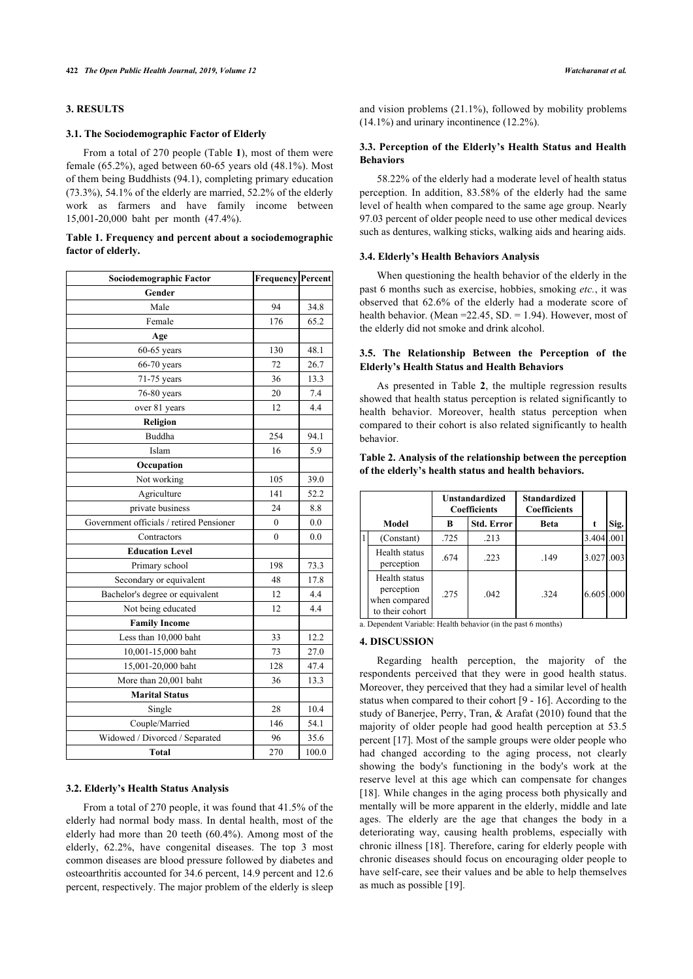# **3. RESULTS**

#### **3.1. The Sociodemographic Factor of Elderly**

From a total of 270 people (Table **[1](#page-2-0)**), most of them were female (65.2%), aged between 60-65 years old (48.1%). Most of them being Buddhists (94.1), completing primary education (73.3%), 54.1% of the elderly are married, 52.2% of the elderly work as farmers and have family income between 15,001-20,000 baht per month (47.4%).

# <span id="page-2-0"></span>**Table 1. Frequency and percent about a sociodemographic factor of elderly.**

<span id="page-2-1"></span>

| Sociodemographic Factor                  | <b>Frequency Percent</b> |       |  |
|------------------------------------------|--------------------------|-------|--|
| Gender                                   |                          |       |  |
| Male                                     | 94                       | 34.8  |  |
| Female                                   | 176                      | 65.2  |  |
| Age                                      |                          |       |  |
| $60-65$ years                            | 130                      | 48.1  |  |
| 66-70 years                              | 72                       | 26.7  |  |
| 71-75 years                              | 36                       | 13.3  |  |
| 76-80 years                              | 20                       | 7.4   |  |
| over 81 years                            | 12                       | 4.4   |  |
| Religion                                 |                          |       |  |
| Buddha                                   | 254                      | 94.1  |  |
| Islam                                    | 16                       | 5.9   |  |
| Occupation                               |                          |       |  |
| Not working                              | 105                      | 39.0  |  |
| Agriculture                              | 141                      | 52.2  |  |
| private business                         | 24                       | 8.8   |  |
| Government officials / retired Pensioner | $\mathbf{0}$             | 0.0   |  |
| Contractors                              | $\theta$                 | 0.0   |  |
| <b>Education Level</b>                   |                          |       |  |
| Primary school                           | 198                      | 73.3  |  |
| Secondary or equivalent                  | 48                       | 17.8  |  |
| Bachelor's degree or equivalent          | 12                       | 4.4   |  |
| Not being educated                       | 12                       | 4.4   |  |
| <b>Family Income</b>                     |                          |       |  |
| Less than 10,000 baht                    | 33                       | 12.2  |  |
| 10,001-15,000 baht                       | 73                       | 27.0  |  |
| 15,001-20,000 baht                       | 128                      | 47.4  |  |
| More than 20,001 baht                    | 36                       | 13.3  |  |
| <b>Marital Status</b>                    |                          |       |  |
| Single                                   | 28                       | 10.4  |  |
| Couple/Married                           | 146                      | 54.1  |  |
| Widowed / Divorced / Separated           | 96                       | 35.6  |  |
| <b>Total</b>                             | 270                      | 100.0 |  |

#### **3.2. Elderly's Health Status Analysis**

From a total of 270 people, it was found that 41.5% of the elderly had normal body mass. In dental health, most of the elderly had more than 20 teeth (60.4%). Among most of the elderly, 62.2%, have congenital diseases. The top 3 most common diseases are blood pressure followed by diabetes and osteoarthritis accounted for 34.6 percent, 14.9 percent and 12.6 percent, respectively. The major problem of the elderly is sleep

and vision problems (21.1%), followed by mobility problems (14.1%) and urinary incontinence (12.2%).

# **3.3. Perception of the Elderly's Health Status and Health Behaviors**

58.22% of the elderly had a moderate level of health status perception. In addition, 83.58% of the elderly had the same level of health when compared to the same age group. Nearly 97.03 percent of older people need to use other medical devices such as dentures, walking sticks, walking aids and hearing aids.

#### **3.4. Elderly's Health Behaviors Analysis**

When questioning the health behavior of the elderly in the past 6 months such as exercise, hobbies, smoking *etc.*, it was observed that 62.6% of the elderly had a moderate score of health behavior. (Mean =22.45, SD. = 1.94). However, most of the elderly did not smoke and drink alcohol.

# **3.5. The Relationship Between the Perception of the Elderly's Health Status and Health Behaviors**

As presented in Table**2**, the multiple regression results showed that health status perception is related significantly to health behavior. Moreover, health status perception when compared to their cohort is also related significantly to health behavior.

# **Table 2. Analysis of the relationship between the perception of the elderly's health status and health behaviors.**

|       |                                                                 | <b>Unstandardized</b><br><b>Coefficients</b> |            | <b>Standardized</b><br><b>Coefficients</b> |            |      |
|-------|-----------------------------------------------------------------|----------------------------------------------|------------|--------------------------------------------|------------|------|
| Model |                                                                 | в                                            | Std. Error | Beta                                       |            | Sig. |
|       | (Constant)                                                      | .725                                         | .213       |                                            | 3.404.001  |      |
|       | Health status<br>perception                                     | .674                                         | .223       | .149                                       | 3.027.003  |      |
|       | Health status<br>perception<br>when compared<br>to their cohort | .275                                         | .042       | 324                                        | 6.605 .000 |      |

a. Dependent Variable: Health behavior (in the past 6 months)

# **4. DISCUSSION**

Regarding health perception, the majority of the respondents perceived that they were in good health status. Moreover, they perceived that they had a similar level of health status when compared to their cohort [[9](#page--1-0) - [16\]](#page-3-6). According to the study of Banerjee, Perry, Tran, & Arafat (2010) found that the majority of older people had good health perception at 53.5 percent [[17\]](#page-3-7). Most of the sample groups were older people who had changed according to the aging process, not clearly showing the body's functioning in the body's work at the reserve level at this age which can compensate for changes [[18](#page-3-8)]. While changes in the aging process both physically and mentally will be more apparent in the elderly, middle and late ages. The elderly are the age that changes the body in a deteriorating way, causing health problems, especially with chronic illness [[18\]](#page-3-8). Therefore, caring for elderly people with chronic diseases should focus on encouraging older people to have self-care, see their values and be able to help themselves as much as possible [\[19](#page-3-9)].